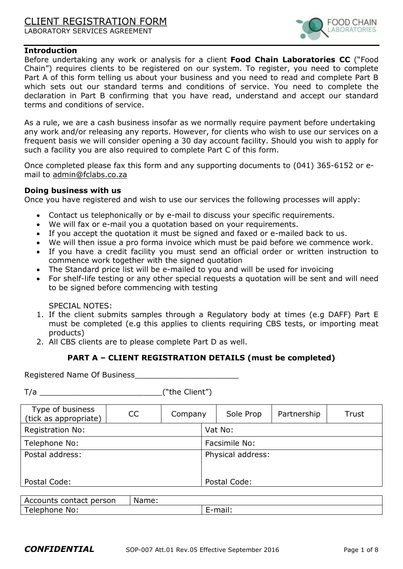# CLIENT REGISTRATION FORM LABORATORY SERVICES AGREEMENT



#### **Introduction**

Before undertaking any work or analysis for a client **Food Chain Laboratories CC** ("Food Chain") requires clients to be registered on our system. To register, you need to complete Part A of this form telling us about your business and you need to read and complete Part B which sets out our standard terms and conditions of service. You need to complete the declaration in Part B confirming that you have read, understand and accept our standard terms and conditions of service.

As a rule, we are a cash business insofar as we normally require payment before undertaking any work and/or releasing any reports. However, for clients who wish to use our services on a frequent basis we will consider opening a 30 day account facility. Should you wish to apply for such a facility you are also required to complete Part C of this form.

Once completed please fax this form and any supporting documents to (041) 365-6152 or email to [admin@fclabs.co.za](mailto:admin@fclabs.co.za)

#### **Doing business with us**

Once you have registered and wish to use our services the following processes will apply:

- Contact us telephonically or by e-mail to discuss your specific requirements.
- We will fax or e-mail you a quotation based on your requirements.
- If you accept the quotation it must be signed and faxed or e-mailed back to us.
- We will then issue a pro forma invoice which must be paid before we commence work.
- If you have a credit facility you must send an official order or written instruction to commence work together with the signed quotation
- The Standard price list will be e-mailed to you and will be used for invoicing
- For shelf-life testing or any other special requests a quotation will be sent and will need to be signed before commencing with testing

SPECIAL NOTES:

- 1. If the client submits samples through a Regulatory body at times (e.g DAFF) Part E must be completed (e.g this applies to clients requiring CBS tests, or importing meat products)
- 2. All CBS clients are to please complete Part D as well.

#### **PART A – CLIENT REGISTRATION DETAILS (must be completed)**

Registered Name Of Business\_\_\_\_\_\_\_\_\_\_\_\_\_\_\_\_\_\_\_\_\_\_

T/a  $\qquad \qquad$  ("the Client")

| Type of business<br>(tick as appropriate) | <b>CC</b> | Company |                   | Sole Prop    | Partnership | Trust |  |
|-------------------------------------------|-----------|---------|-------------------|--------------|-------------|-------|--|
| <b>Registration No:</b>                   |           |         |                   | Vat No:      |             |       |  |
| Telephone No:                             |           |         | Facsimile No:     |              |             |       |  |
| Postal address:                           |           |         | Physical address: |              |             |       |  |
|                                           |           |         |                   |              |             |       |  |
| Postal Code:                              |           |         |                   | Postal Code: |             |       |  |

| contact person<br>$\cdots$<br>⊸∪uillb ⊑'' | vame:<br>Na |        |
|-------------------------------------------|-------------|--------|
| No.                                       |             | .<br>. |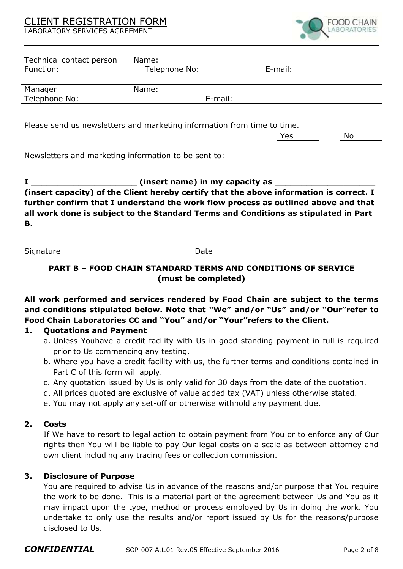# CLIENT REGISTRATION FORM

LABORATORY SERVICES AGREEMENT



| Technical contact person                                                                                                                                                                                                                                                                                          | Name:         |         |                                                                                 |  |
|-------------------------------------------------------------------------------------------------------------------------------------------------------------------------------------------------------------------------------------------------------------------------------------------------------------------|---------------|---------|---------------------------------------------------------------------------------|--|
| Function:                                                                                                                                                                                                                                                                                                         | Telephone No: |         | E-mail:                                                                         |  |
|                                                                                                                                                                                                                                                                                                                   |               |         |                                                                                 |  |
| Manager                                                                                                                                                                                                                                                                                                           | Name:         |         |                                                                                 |  |
| Telephone No:                                                                                                                                                                                                                                                                                                     |               | E-mail: |                                                                                 |  |
| Please send us newsletters and marketing information from time to time.                                                                                                                                                                                                                                           |               |         | Yes<br>No                                                                       |  |
| Newsletters and marketing information to be sent to: ___________________________                                                                                                                                                                                                                                  |               |         |                                                                                 |  |
| (insert name) in my capacity as ___<br>(insert capacity) of the Client hereby certify that the above information is correct. I<br>further confirm that I understand the work flow process as outlined above and that<br>all work done is subject to the Standard Terms and Conditions as stipulated in Part<br>В. |               |         |                                                                                 |  |
| Signature                                                                                                                                                                                                                                                                                                         |               | Date    |                                                                                 |  |
| <b>PART B - FOOD CHAIN STANDARD TERMS AND CONDITIONS OF SERVICE</b><br>(must be completed)                                                                                                                                                                                                                        |               |         |                                                                                 |  |
|                                                                                                                                                                                                                                                                                                                   |               |         | All work performed and services rendered by Food Chain are subject to the terms |  |

**and conditions stipulated below. Note that "We" and/or "Us" and/or "Our"refer to Food Chain Laboratories CC and "You" and/or "Your"refers to the Client.**

#### **1. Quotations and Payment**

- a. Unless Youhave a credit facility with Us in good standing payment in full is required prior to Us commencing any testing.
- b. Where you have a credit facility with us, the further terms and conditions contained in Part C of this form will apply.
- c. Any quotation issued by Us is only valid for 30 days from the date of the quotation.
- d. All prices quoted are exclusive of value added tax (VAT) unless otherwise stated.
- e. You may not apply any set-off or otherwise withhold any payment due.

#### **2. Costs**

If We have to resort to legal action to obtain payment from You or to enforce any of Our rights then You will be liable to pay Our legal costs on a scale as between attorney and own client including any tracing fees or collection commission.

#### **3. Disclosure of Purpose**

You are required to advise Us in advance of the reasons and/or purpose that You require the work to be done. This is a material part of the agreement between Us and You as it may impact upon the type, method or process employed by Us in doing the work. You undertake to only use the results and/or report issued by Us for the reasons/purpose disclosed to Us.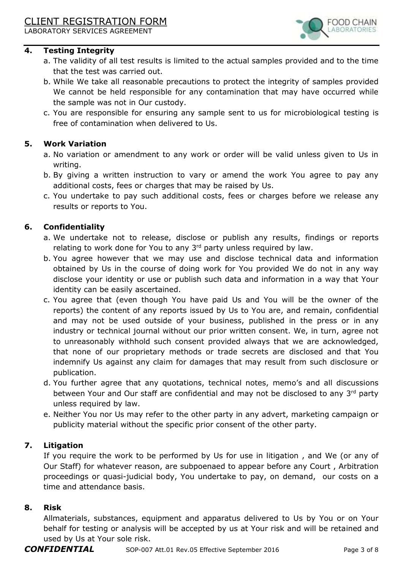LABORATORY SERVICES AGREEMENT

## **4. Testing Integrity**

- a. The validity of all test results is limited to the actual samples provided and to the time that the test was carried out.
- b. While We take all reasonable precautions to protect the integrity of samples provided We cannot be held responsible for any contamination that may have occurred while the sample was not in Our custody.
- c. You are responsible for ensuring any sample sent to us for microbiological testing is free of contamination when delivered to Us.

## **5. Work Variation**

- a. No variation or amendment to any work or order will be valid unless given to Us in writing.
- b. By giving a written instruction to vary or amend the work You agree to pay any additional costs, fees or charges that may be raised by Us.
- c. You undertake to pay such additional costs, fees or charges before we release any results or reports to You.

## **6. Confidentiality**

- a. We undertake not to release, disclose or publish any results, findings or reports relating to work done for You to any  $3<sup>rd</sup>$  party unless required by law.
- b. You agree however that we may use and disclose technical data and information obtained by Us in the course of doing work for You provided We do not in any way disclose your identity or use or publish such data and information in a way that Your identity can be easily ascertained.
- c. You agree that (even though You have paid Us and You will be the owner of the reports) the content of any reports issued by Us to You are, and remain, confidential and may not be used outside of your business, published in the press or in any industry or technical journal without our prior written consent. We, in turn, agree not to unreasonably withhold such consent provided always that we are acknowledged, that none of our proprietary methods or trade secrets are disclosed and that You indemnify Us against any claim for damages that may result from such disclosure or publication.
- d. You further agree that any quotations, technical notes, memo's and all discussions between Your and Our staff are confidential and may not be disclosed to any 3rd party unless required by law.
- e. Neither You nor Us may refer to the other party in any advert, marketing campaign or publicity material without the specific prior consent of the other party.

## **7. Litigation**

If you require the work to be performed by Us for use in litigation , and We (or any of Our Staff) for whatever reason, are subpoenaed to appear before any Court , Arbitration proceedings or quasi-judicial body, You undertake to pay, on demand, our costs on a time and attendance basis.

## **8. Risk**

Allmaterials, substances, equipment and apparatus delivered to Us by You or on Your behalf for testing or analysis will be accepted by us at Your risk and will be retained and used by Us at Your sole risk.

OOD CHAIN **BORATORII**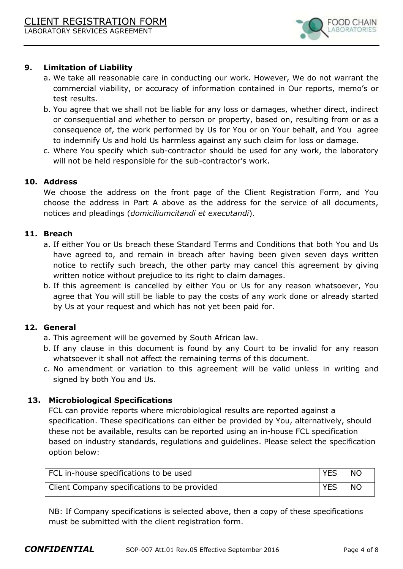

# **9. Limitation of Liability**

- a. We take all reasonable care in conducting our work. However, We do not warrant the commercial viability, or accuracy of information contained in Our reports, memo's or test results.
- b. You agree that we shall not be liable for any loss or damages, whether direct, indirect or consequential and whether to person or property, based on, resulting from or as a consequence of, the work performed by Us for You or on Your behalf, and You agree to indemnify Us and hold Us harmless against any such claim for loss or damage.
- c. Where You specify which sub-contractor should be used for any work, the laboratory will not be held responsible for the sub-contractor's work.

## **10. Address**

We choose the address on the front page of the Client Registration Form, and You choose the address in Part A above as the address for the service of all documents, notices and pleadings (*domiciliumcitandi et executandi*).

#### **11. Breach**

- a. If either You or Us breach these Standard Terms and Conditions that both You and Us have agreed to, and remain in breach after having been given seven days written notice to rectify such breach, the other party may cancel this agreement by giving written notice without prejudice to its right to claim damages.
- b. If this agreement is cancelled by either You or Us for any reason whatsoever, You agree that You will still be liable to pay the costs of any work done or already started by Us at your request and which has not yet been paid for.

## **12. General**

- a. This agreement will be governed by South African law.
- b. If any clause in this document is found by any Court to be invalid for any reason whatsoever it shall not affect the remaining terms of this document.
- c. No amendment or variation to this agreement will be valid unless in writing and signed by both You and Us.

## **13. Microbiological Specifications**

FCL can provide reports where microbiological results are reported against a specification. These specifications can either be provided by You, alternatively, should these not be available, results can be reported using an in-house FCL specification based on industry standards, regulations and guidelines. Please select the specification option below:

| FCL in-house specifications to be used       | <b>YES</b> | I NO            |
|----------------------------------------------|------------|-----------------|
| Client Company specifications to be provided | <b>YES</b> | NO <sub>1</sub> |

NB: If Company specifications is selected above, then a copy of these specifications must be submitted with the client registration form.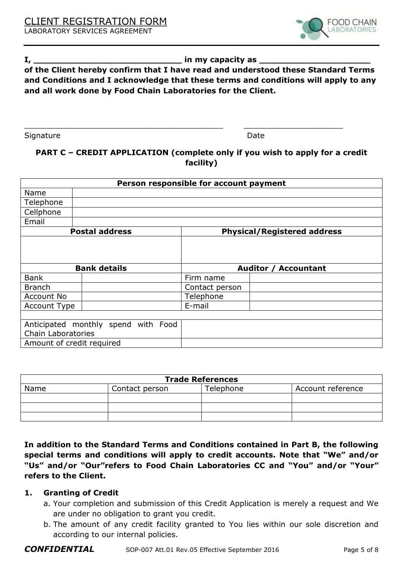

## **I, \_\_\_\_\_\_\_\_\_\_\_\_\_\_\_\_\_\_\_\_\_\_\_\_\_\_\_\_ in my capacity as \_\_\_\_\_\_\_\_\_\_\_\_\_\_\_\_\_\_\_\_\_**

# **of the Client hereby confirm that I have read and understood these Standard Terms and Conditions and I acknowledge that these terms and conditions will apply to any and all work done by Food Chain Laboratories for the Client.**

Signature Date Date Date Date Date

# **PART C – CREDIT APPLICATION (complete only if you wish to apply for a credit facility)**

\_\_\_\_\_\_\_\_\_\_\_\_\_\_\_\_\_\_\_\_\_\_\_\_\_\_\_\_\_\_\_\_\_\_\_\_\_\_\_\_\_\_ \_\_\_\_\_\_\_\_\_\_\_\_\_\_\_\_\_\_\_\_\_

| Person responsible for account payment |                                     |                             |                                    |  |
|----------------------------------------|-------------------------------------|-----------------------------|------------------------------------|--|
| Name                                   |                                     |                             |                                    |  |
| Telephone                              |                                     |                             |                                    |  |
| Cellphone                              |                                     |                             |                                    |  |
| Email                                  |                                     |                             |                                    |  |
| <b>Postal address</b>                  |                                     |                             | <b>Physical/Registered address</b> |  |
|                                        |                                     |                             |                                    |  |
|                                        | <b>Bank details</b>                 | <b>Auditor / Accountant</b> |                                    |  |
| <b>Bank</b>                            |                                     | Firm name                   |                                    |  |
| <b>Branch</b>                          |                                     | Contact person              |                                    |  |
| Account No                             |                                     | Telephone                   |                                    |  |
| Account Type                           |                                     | E-mail                      |                                    |  |
|                                        |                                     |                             |                                    |  |
|                                        | Anticipated monthly spend with Food |                             |                                    |  |
| Chain Laboratories                     |                                     |                             |                                    |  |
|                                        | Amount of credit required           |                             |                                    |  |

| <b>Trade References</b> |                |           |                   |  |
|-------------------------|----------------|-----------|-------------------|--|
| Name                    | Contact person | Telephone | Account reference |  |
|                         |                |           |                   |  |
|                         |                |           |                   |  |
|                         |                |           |                   |  |

**In addition to the Standard Terms and Conditions contained in Part B, the following special terms and conditions will apply to credit accounts. Note that "We" and/or "Us" and/or "Our"refers to Food Chain Laboratories CC and "You" and/or "Your" refers to the Client.** 

## **1. Granting of Credit**

- a. Your completion and submission of this Credit Application is merely a request and We are under no obligation to grant you credit.
- b. The amount of any credit facility granted to You lies within our sole discretion and according to our internal policies.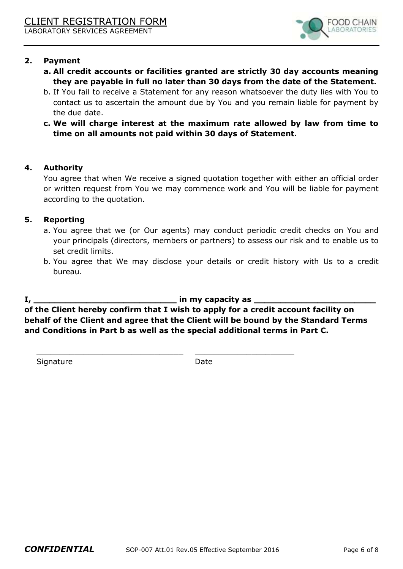

## **2. Payment**

- **a. All credit accounts or facilities granted are strictly 30 day accounts meaning they are payable in full no later than 30 days from the date of the Statement.**
- b. If You fail to receive a Statement for any reason whatsoever the duty lies with You to contact us to ascertain the amount due by You and you remain liable for payment by the due date.
- **c. We will charge interest at the maximum rate allowed by law from time to time on all amounts not paid within 30 days of Statement.**

## **4. Authority**

You agree that when We receive a signed quotation together with either an official order or written request from You we may commence work and You will be liable for payment according to the quotation.

## **5. Reporting**

- a. You agree that we (or Our agents) may conduct periodic credit checks on You and your principals (directors, members or partners) to assess our risk and to enable us to set credit limits.
- b. You agree that We may disclose your details or credit history with Us to a credit bureau.

## **I, \_\_\_\_\_\_\_\_\_\_\_\_\_\_\_\_\_\_\_\_\_\_\_\_\_\_\_ in my capacity as \_\_\_\_\_\_\_\_\_\_\_\_\_\_\_\_\_\_\_\_\_\_\_**

**of the Client hereby confirm that I wish to apply for a credit account facility on behalf of the Client and agree that the Client will be bound by the Standard Terms and Conditions in Part b as well as the special additional terms in Part C.** 

 $\_$  , and the set of the set of the set of the set of the set of the set of the set of the set of the set of the set of the set of the set of the set of the set of the set of the set of the set of the set of the set of th

Signature Date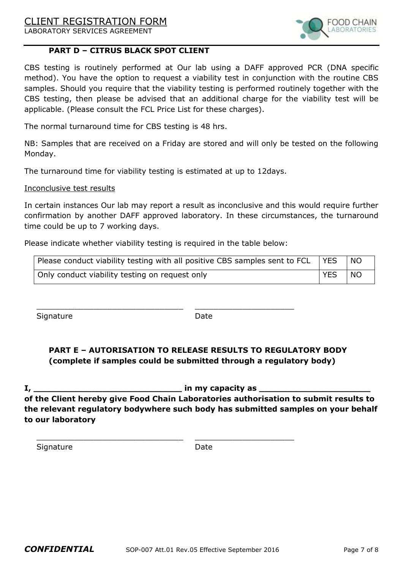# CLIENT REGISTRATION FORM

LABORATORY SERVICES AGREEMENT



## **PART D – CITRUS BLACK SPOT CLIENT**

CBS testing is routinely performed at Our lab using a DAFF approved PCR (DNA specific method). You have the option to request a viability test in conjunction with the routine CBS samples. Should you require that the viability testing is performed routinely together with the CBS testing, then please be advised that an additional charge for the viability test will be applicable. (Please consult the FCL Price List for these charges).

The normal turnaround time for CBS testing is 48 hrs.

NB: Samples that are received on a Friday are stored and will only be tested on the following Monday.

The turnaround time for viability testing is estimated at up to 12days.

#### Inconclusive test results

In certain instances Our lab may report a result as inconclusive and this would require further confirmation by another DAFF approved laboratory. In these circumstances, the turnaround time could be up to 7 working days.

Please indicate whether viability testing is required in the table below:

 $\_$  , and the set of the set of the set of the set of the set of the set of the set of the set of the set of the set of the set of the set of the set of the set of the set of the set of the set of the set of the set of th

\_\_\_\_\_\_\_\_\_\_\_\_\_\_\_\_\_\_\_\_\_\_\_\_\_\_\_\_\_\_\_ \_\_\_\_\_\_\_\_\_\_\_\_\_\_\_\_\_\_\_\_\_

| Please conduct viability testing with all positive CBS samples sent to FCL   YES |            | <b>NO</b>       |
|----------------------------------------------------------------------------------|------------|-----------------|
| Only conduct viability testing on request only                                   | <b>YES</b> | NO <sub>1</sub> |

Signature Date

# **PART E – AUTORISATION TO RELEASE RESULTS TO REGULATORY BODY (complete if samples could be submitted through a regulatory body)**

**I**, *I* **of the Client hereby give Food Chain Laboratories authorisation to submit results to the relevant regulatory bodywhere such body has submitted samples on your behalf to our laboratory** 

Signature Date